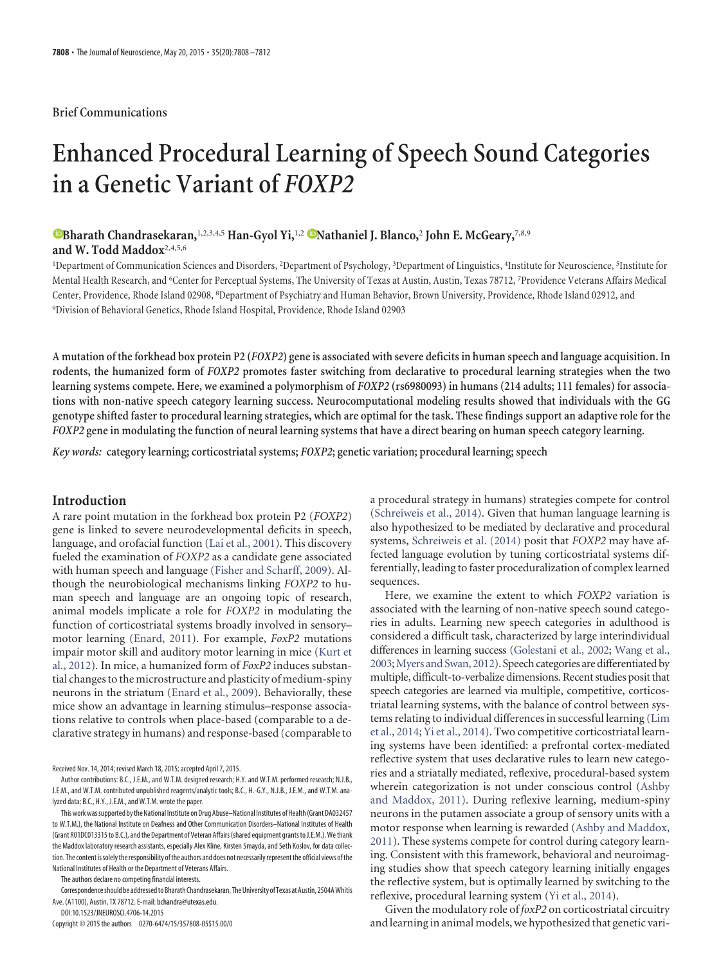#### **Brief Communications**

# **Enhanced Procedural Learning of Speech Sound Categories in a Genetic Variant of** *FOXP2*

# **®Bharath Chandrasekaran,**<sup>1,2,3,4,5</sup> **Han-Gyol Yi,**<sup>1,2</sup> **Wathaniel J. Blanco,**<sup>2</sup> John E. McGeary,<sup>7,8,9</sup> **and W. Todd Maddox**2,4,5,6

<sup>1</sup>Department of Communication Sciences and Disorders, <sup>2</sup>Department of Psychology, <sup>3</sup>Department of Linguistics, <sup>4</sup>Institute for Neuroscience, <sup>5</sup>Institute for Mental Health Research, and <sup>6</sup>Center for Perceptual Systems, The University of Texas at Austin, Austin, Texas 78712, <sup>7</sup>Providence Veterans Affairs Medical Center, Providence, Rhode Island 02908, <sup>8</sup>Department of Psychiatry and Human Behavior, Brown University, Providence, Rhode Island 02912, and 9 Division of Behavioral Genetics, Rhode Island Hospital, Providence, Rhode Island 02903

**A mutation of the forkhead box protein P2 (***FOXP2***) gene is associated with severe deficits in human speech and language acquisition. In rodents, the humanized form of** *FOXP2* **promotes faster switching from declarative to procedural learning strategies when the two learning systems compete. Here, we examined a polymorphism of** *FOXP2* **(rs6980093) in humans (214 adults; 111 females) for associations with non-native speech category learning success. Neurocomputational modeling results showed that individuals with the GG genotype shifted faster to procedural learning strategies, which are optimal for the task. These findings support an adaptive role for the** *FOXP2* **gene in modulating the function of neural learning systems that have a direct bearing on human speech category learning.**

*Key words:* **category learning; corticostriatal systems;** *FOXP2***; genetic variation; procedural learning; speech**

## **Introduction**

A rare point mutation in the forkhead box protein P2 (*FOXP2*) gene is linked to severe neurodevelopmental deficits in speech, language, and orofacial function [\(Lai et al., 2001\)](#page-4-0). This discovery fueled the examination of *FOXP2* as a candidate gene associated with human speech and language [\(Fisher and Scharff, 2009\)](#page-4-1). Although the neurobiological mechanisms linking *FOXP2* to human speech and language are an ongoing topic of research, animal models implicate a role for *FOXP2* in modulating the function of corticostriatal systems broadly involved in sensory– motor learning [\(Enard, 2011\)](#page-4-2). For example, *FoxP2* mutations impair motor skill and auditory motor learning in mice [\(Kurt et](#page-4-3) [al., 2012\)](#page-4-3). In mice, a humanized form of *FoxP2* induces substantial changes to the microstructure and plasticity of medium-spiny neurons in the striatum [\(Enard et al., 2009\)](#page-4-4). Behaviorally, these mice show an advantage in learning stimulus–response associations relative to controls when place-based (comparable to a declarative strategy in humans) and response-based (comparable to

Received Nov. 14, 2014; revised March 18, 2015; accepted April 7, 2015.

The authors declare no competing financial interests.

DOI:10.1523/JNEUROSCI.4706-14.2015

Copyright © 2015 the authors 0270-6474/15/357808-05\$15.00/0

a procedural strategy in humans) strategies compete for control [\(Schreiweis et al., 2014\)](#page-4-5). Given that human language learning is also hypothesized to be mediated by declarative and procedural systems, [Schreiweis et al. \(2014\)](#page-4-5) posit that *FOXP2* may have affected language evolution by tuning corticostriatal systems differentially, leading to faster proceduralization of complex learned sequences.

Here, we examine the extent to which *FOXP2* variation is associated with the learning of non-native speech sound categories in adults. Learning new speech categories in adulthood is considered a difficult task, characterized by large interindividual differences in learning success [\(Golestani et al., 2002;](#page-4-6) [Wang et al.,](#page-4-7) [2003;](#page-4-7)[Myers and Swan, 2012\)](#page-4-8). Speech categories are differentiated by multiple, difficult-to-verbalize dimensions. Recent studies posit that speech categories are learned via multiple, competitive, corticostriatal learning systems, with the balance of control between systems relating to individual differences in successful learning [\(Lim](#page-4-9) [et al., 2014;](#page-4-9) [Yi et al., 2014\)](#page-4-10). Two competitive corticostriatal learning systems have been identified: a prefrontal cortex-mediated reflective system that uses declarative rules to learn new categories and a striatally mediated, reflexive, procedural-based system wherein categorization is not under conscious control [\(Ashby](#page-4-11) [and Maddox, 2011\)](#page-4-11). During reflexive learning, medium-spiny neurons in the putamen associate a group of sensory units with a motor response when learning is rewarded [\(Ashby and Maddox,](#page-4-11) [2011\)](#page-4-11). These systems compete for control during category learning. Consistent with this framework, behavioral and neuroimaging studies show that speech category learning initially engages the reflective system, but is optimally learned by switching to the reflexive, procedural learning system [\(Yi et al., 2014\)](#page-4-10).

Given the modulatory role of *foxP2* on corticostriatal circuitry and learning in animal models, we hypothesized that genetic vari-

Author contributions: B.C., J.E.M., and W.T.M. designed research; H.Y. and W.T.M. performed research; N.J.B., J.E.M., and W.T.M. contributed unpublished reagents/analytic tools; B.C., H.-G.Y., N.J.B., J.E.M., and W.T.M. analyzed data; B.C., H.Y., J.E.M., and W.T.M. wrote the paper.

This work was supported by the National Institute on Drug Abuse–National Institutes of Health (Grant DA032457 to W.T.M.), the National Institute on Deafness and Other Communication Disorders–National Institutes of Health (Grant R01DC013315 to B.C.), and the Department of Veteran Affairs (shared equipment grants to J.E.M.). We thank the Maddox laboratory research assistants, especially Alex Kline, Kirsten Smayda, and Seth Koslov, for data collection. The content is solely the responsibility of the authors and does not necessarily represent the official views of the National Institutes of Health or the Department of Veterans Affairs.

Correspondence should be addressed to Bharath Chandrasekaran, The University of Texas at Austin, 2504A Whitis Ave. (A1100), Austin, TX 78712. E-mail:bchandra@utexas.edu.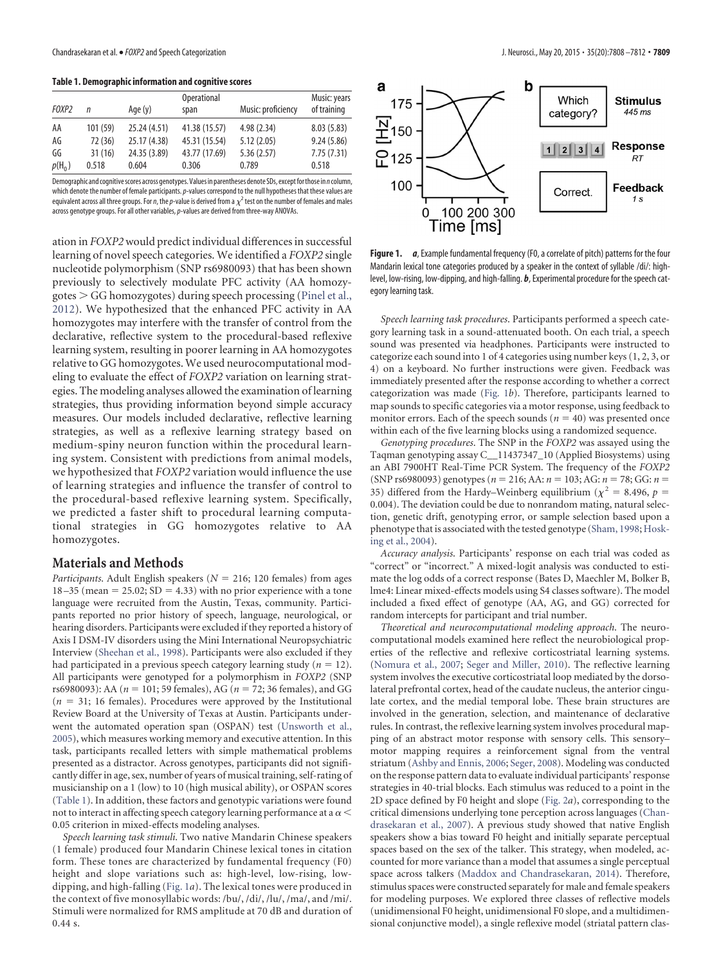<span id="page-1-0"></span>**Table 1. Demographic information and cognitive scores**

|                   |         |              | <b>Operational</b> |                    | Music: years |
|-------------------|---------|--------------|--------------------|--------------------|--------------|
| FOXP <sub>2</sub> | n       | Age (y)      | span               | Music: proficiency | of training  |
| AA                | 101(59) | 25.24(4.51)  | 41.38 (15.57)      | 4.98(2.34)         | 8.03(5.83)   |
| AG                | 72 (36) | 25.17 (4.38) | 45.31 (15.54)      | 5.12(2.05)         | 9.24(5.86)   |
| GG                | 31(16)  | 24.35 (3.89) | 43.77 (17.69)      | 5.36(2.57)         | 7.75(7.31)   |
| $p(H_0)$          | 0.518   | 0.604        | 0.306              | 0.789              | 0.518        |

Demographic and cognitivescores across genotypes. Values in parentheses denote SDs, exceptforthose in *n*column, which denote the number of female participants.*p*-values correspond to the null hypotheses that these values are equivalent across all three groups. For *n*, the *p*-value is derived from a  $\chi^2$  test on the number of females and males across genotype groups. For all other variables,*p*-values are derived from three-way ANOVAs.

ation in *FOXP2*would predict individual differences in successful learning of novel speech categories. We identified a *FOXP2* single nucleotide polymorphism (SNP rs6980093) that has been shown previously to selectively modulate PFC activity (AA homozygotes - GG homozygotes) during speech processing [\(Pinel et al.,](#page-4-12) [2012\)](#page-4-12). We hypothesized that the enhanced PFC activity in AA homozygotes may interfere with the transfer of control from the declarative, reflective system to the procedural-based reflexive learning system, resulting in poorer learning in AA homozygotes relative to GG homozygotes. We used neurocomputational modeling to evaluate the effect of *FOXP2* variation on learning strategies. The modeling analyses allowed the examination of learning strategies, thus providing information beyond simple accuracy measures. Our models included declarative, reflective learning strategies, as well as a reflexive learning strategy based on medium-spiny neuron function within the procedural learning system. Consistent with predictions from animal models, we hypothesized that *FOXP2* variation would influence the use of learning strategies and influence the transfer of control to the procedural-based reflexive learning system. Specifically, we predicted a faster shift to procedural learning computational strategies in GG homozygotes relative to AA homozygotes.

### **Materials and Methods**

*Participants*. Adult English speakers ( $N = 216$ ; 120 females) from ages  $18 - 35$  (mean = 25.02; SD = 4.33) with no prior experience with a tone language were recruited from the Austin, Texas, community. Participants reported no prior history of speech, language, neurological, or hearing disorders. Participants were excluded if they reported a history of Axis I DSM-IV disorders using the Mini International Neuropsychiatric Interview [\(Sheehan et al., 1998\)](#page-4-13). Participants were also excluded if they had participated in a previous speech category learning study ( $n = 12$ ). All participants were genotyped for a polymorphism in *FOXP2* (SNP rs6980093): AA ( $n = 101$ ; 59 females), AG ( $n = 72$ ; 36 females), and GG  $(n = 31; 16$  females). Procedures were approved by the Institutional Review Board at the University of Texas at Austin. Participants underwent the automated operation span (OSPAN) test [\(Unsworth et al.,](#page-4-14) [2005\)](#page-4-14), which measures working memory and executive attention. In this task, participants recalled letters with simple mathematical problems presented as a distractor. Across genotypes, participants did not significantly differ in age, sex, number of years of musical training, self-rating of musicianship on a 1 (low) to 10 (high musical ability), or OSPAN scores [\(Table 1\)](#page-1-0). In addition, these factors and genotypic variations were found not to interact in affecting speech category learning performance at a  $\alpha$   $<$ 0.05 criterion in mixed-effects modeling analyses.

*Speech learning task stimuli*. Two native Mandarin Chinese speakers (1 female) produced four Mandarin Chinese lexical tones in citation form. These tones are characterized by fundamental frequency (F0) height and slope variations such as: high-level, low-rising, lowdipping, and high-falling [\(Fig. 1](#page-1-1)*a*). The lexical tones were produced in the context of five monosyllabic words: /bu/, /di/, /lu/, /ma/, and /mi/. Stimuli were normalized for RMS amplitude at 70 dB and duration of 0.44 s.



<span id="page-1-1"></span>**Figure 1.** *a*, Example fundamental frequency (F0, a correlate of pitch) patterns for the four Mandarin lexical tone categories produced by a speaker in the context of syllable /di/: highlevel, low-rising, low-dipping, and high-falling. *b*, Experimental procedure for the speech category learning task.

*Speech learning task procedures*. Participants performed a speech category learning task in a sound-attenuated booth. On each trial, a speech sound was presented via headphones. Participants were instructed to categorize each sound into 1 of 4 categories using number keys (1, 2, 3, or 4) on a keyboard. No further instructions were given. Feedback was immediately presented after the response according to whether a correct categorization was made [\(Fig. 1](#page-1-1)*b*). Therefore, participants learned to map sounds to specific categories via a motor response, using feedback to monitor errors. Each of the speech sounds ( $n = 40$ ) was presented once within each of the five learning blocks using a randomized sequence.

*Genotyping procedures*. The SNP in the *FOXP2* was assayed using the Taqman genotyping assay C\_\_11437347\_10 (Applied Biosystems) using an ABI 7900HT Real-Time PCR System. The frequency of the *FOXP2* (SNP rs6980093) genotypes ( $n = 216$ ; AA:  $n = 103$ ; AG:  $n = 78$ ; GG:  $n =$ 35) differed from the Hardy–Weinberg equilibrium ( $\chi^2$  = 8.496, *p* = 0.004). The deviation could be due to nonrandom mating, natural selection, genetic drift, genotyping error, or sample selection based upon a phenotype that is associated with the tested genotype [\(Sham, 1998;](#page-4-15) [Hosk](#page-4-16)[ing et al., 2004\)](#page-4-16).

*Accuracy analysis*. Participants' response on each trial was coded as "correct" or "incorrect." A mixed-logit analysis was conducted to estimate the log odds of a correct response (Bates D, Maechler M, Bolker B, lme4: Linear mixed-effects models using S4 classes software). The model included a fixed effect of genotype (AA, AG, and GG) corrected for random intercepts for participant and trial number.

*Theoretical and neurocomputational modeling approach*. The neurocomputational models examined here reflect the neurobiological properties of the reflective and reflexive corticostriatal learning systems. [\(Nomura et al., 2007;](#page-4-17) [Seger and Miller, 2010\)](#page-4-18). The reflective learning system involves the executive corticostriatal loop mediated by the dorsolateral prefrontal cortex, head of the caudate nucleus, the anterior cingulate cortex, and the medial temporal lobe. These brain structures are involved in the generation, selection, and maintenance of declarative rules. In contrast, the reflexive learning system involves procedural mapping of an abstract motor response with sensory cells. This sensory– motor mapping requires a reinforcement signal from the ventral striatum [\(Ashby and Ennis, 2006;](#page-4-19) [Seger, 2008\)](#page-4-20). Modeling was conducted on the response pattern data to evaluate individual participants' response strategies in 40-trial blocks. Each stimulus was reduced to a point in the 2D space defined by F0 height and slope [\(Fig. 2](#page-2-0)*a*), corresponding to the critical dimensions underlying tone perception across languages [\(Chan](#page-4-21)[drasekaran et al., 2007\)](#page-4-21). A previous study showed that native English speakers show a bias toward F0 height and initially separate perceptual spaces based on the sex of the talker. This strategy, when modeled, accounted for more variance than a model that assumes a single perceptual space across talkers [\(Maddox and Chandrasekaran, 2014\)](#page-4-22). Therefore, stimulus spaces were constructed separately for male and female speakers for modeling purposes. We explored three classes of reflective models (unidimensional F0 height, unidimensional F0 slope, and a multidimensional conjunctive model), a single reflexive model (striatal pattern clas-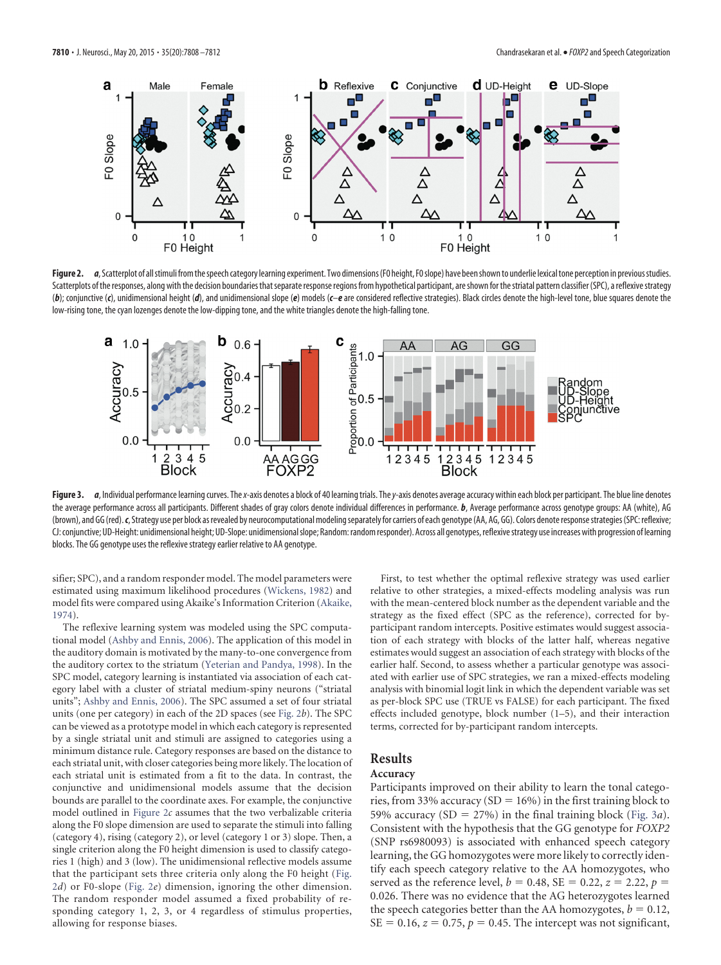

<span id="page-2-0"></span>Figure 2. *a*, Scatterplot of all stimuli from the speech category learning experiment. Two dimensions (F0 height, F0 slope) have been shown to underlie lexical tone perception in previous studies. Scatterplots of the responses, along with the decision boundaries that separate response regions from hypothetical participant, are shown for the striatal pattern classifier (SPC), a reflexive strategy (b); conjunctive (c), unidimensional height (d), and unidimensional slope (e) models (c-e are considered reflective strategies). Black circles denote the high-level tone, blue squares denote the low-rising tone, the cyan lozenges denote the low-dipping tone, and the white triangles denote the high-falling tone.



<span id="page-2-1"></span>Figure 3. *a*, Individual performance learning curves. The x-axis denotes a block of 40 learning trials. The y-axis denotes average accuracy within each block per participant. The blue line denotes the average performance across all participants. Different shades of gray colors denote individual differences in performance. *b*, Average performance across genotype groups: AA (white), AG (brown), and GG (red). c, Strategy use per block as revealed by neurocomputational modeling separately for carriers of each genotype (AA, AG, GG). Colors denote response strategies (SPC: reflexive; CJ: conjunctive; UD-Height: unidimensional height; UD-Slope: unidimensionalslope; Random:randomresponder). Across all genotypes,reflexivestrategy use increases with progression of learning blocks. The GG genotype uses the reflexive strategy earlier relative to AA genotype.

sifier; SPC), and a random responder model. The model parameters were estimated using maximum likelihood procedures [\(Wickens, 1982\)](#page-4-23) and model fits were compared using Akaike's Information Criterion [\(Akaike,](#page-4-24) [1974\)](#page-4-24).

The reflexive learning system was modeled using the SPC computational model [\(Ashby and Ennis, 2006\)](#page-4-19). The application of this model in the auditory domain is motivated by the many-to-one convergence from the auditory cortex to the striatum [\(Yeterian and Pandya, 1998\)](#page-4-25). In the SPC model, category learning is instantiated via association of each category label with a cluster of striatal medium-spiny neurons ("striatal units"; [Ashby and Ennis, 2006\)](#page-4-19). The SPC assumed a set of four striatal units (one per category) in each of the 2D spaces (see [Fig. 2](#page-2-0)*b*). The SPC can be viewed as a prototype model in which each category is represented by a single striatal unit and stimuli are assigned to categories using a minimum distance rule. Category responses are based on the distance to each striatal unit, with closer categories being more likely. The location of each striatal unit is estimated from a fit to the data. In contrast, the conjunctive and unidimensional models assume that the decision bounds are parallel to the coordinate axes. For example, the conjunctive model outlined in [Figure 2](#page-2-0)*c* assumes that the two verbalizable criteria along the F0 slope dimension are used to separate the stimuli into falling (category 4), rising (category 2), or level (category 1 or 3) slope. Then, a single criterion along the F0 height dimension is used to classify categories 1 (high) and 3 (low). The unidimensional reflective models assume that the participant sets three criteria only along the F0 height [\(Fig.](#page-2-0) [2](#page-2-0)*d*) or F0-slope [\(Fig. 2](#page-2-0)*e*) dimension, ignoring the other dimension. The random responder model assumed a fixed probability of responding category 1, 2, 3, or 4 regardless of stimulus properties, allowing for response biases.

First, to test whether the optimal reflexive strategy was used earlier relative to other strategies, a mixed-effects modeling analysis was run with the mean-centered block number as the dependent variable and the strategy as the fixed effect (SPC as the reference), corrected for byparticipant random intercepts. Positive estimates would suggest association of each strategy with blocks of the latter half, whereas negative estimates would suggest an association of each strategy with blocks of the earlier half. Second, to assess whether a particular genotype was associated with earlier use of SPC strategies, we ran a mixed-effects modeling analysis with binomial logit link in which the dependent variable was set as per-block SPC use (TRUE vs FALSE) for each participant. The fixed effects included genotype, block number (1–5), and their interaction terms, corrected for by-participant random intercepts.

## **Results**

# **Accuracy**

Participants improved on their ability to learn the tonal categories, from 33% accuracy (SD =  $16\%$ ) in the first training block to 59% accuracy (SD =  $27\%$ ) in the final training block [\(Fig. 3](#page-2-1)*a*). Consistent with the hypothesis that the GG genotype for *FOXP2* (SNP rs6980093) is associated with enhanced speech category learning, the GG homozygotes were more likely to correctly identify each speech category relative to the AA homozygotes, who served as the reference level,  $b = 0.48$ , SE = 0.22,  $z = 2.22$ ,  $p =$ 0.026. There was no evidence that the AG heterozygotes learned the speech categories better than the AA homozygotes,  $b = 0.12$ ,  $SE = 0.16$ ,  $z = 0.75$ ,  $p = 0.45$ . The intercept was not significant,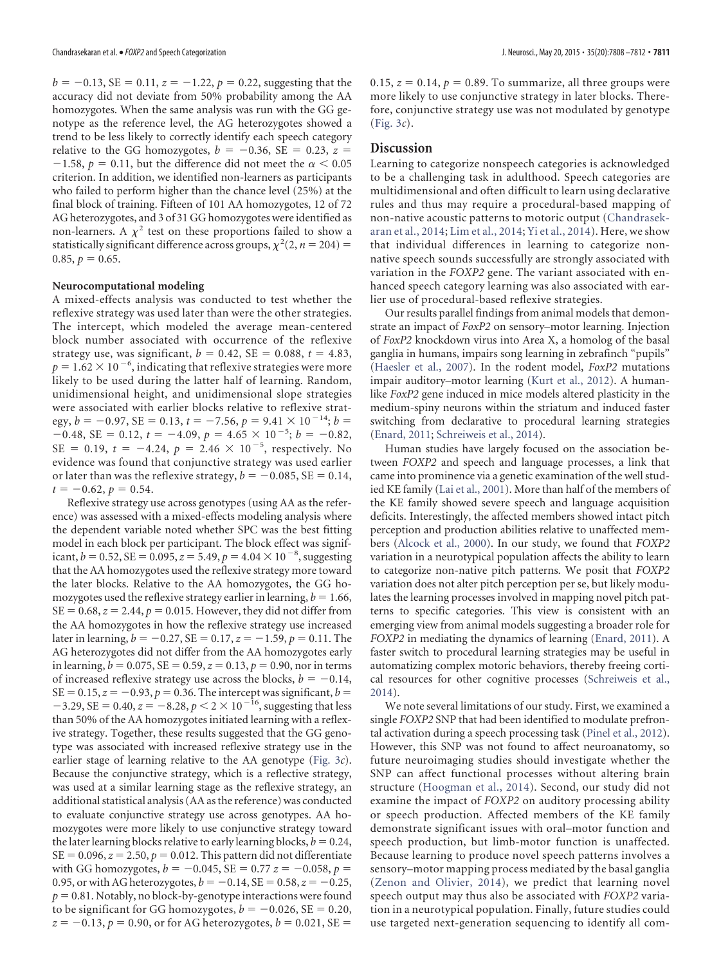$b = -0.13$ , SE = 0.11,  $z = -1.22$ ,  $p = 0.22$ , suggesting that the accuracy did not deviate from 50% probability among the AA homozygotes. When the same analysis was run with the GG genotype as the reference level, the AG heterozygotes showed a trend to be less likely to correctly identify each speech category relative to the GG homozygotes,  $b = -0.36$ , SE = 0.23,  $z =$  $-1.58$ ,  $p = 0.11$ , but the difference did not meet the  $\alpha < 0.05$ criterion. In addition, we identified non-learners as participants who failed to perform higher than the chance level (25%) at the final block of training. Fifteen of 101 AA homozygotes, 12 of 72 AG heterozygotes, and 3 of 31 GG homozygotes were identified as non-learners. A  $\chi^2$  test on these proportions failed to show a statistically significant difference across groups,  $\chi^2(2, n = 204)$  =  $0.85, p = 0.65.$ 

#### **Neurocomputational modeling**

A mixed-effects analysis was conducted to test whether the reflexive strategy was used later than were the other strategies. The intercept, which modeled the average mean-centered block number associated with occurrence of the reflexive strategy use, was significant,  $b = 0.42$ ,  $SE = 0.088$ ,  $t = 4.83$ ,  $p = 1.62 \times 10^{-6}$ , indicating that reflexive strategies were more likely to be used during the latter half of learning. Random, unidimensional height, and unidimensional slope strategies were associated with earlier blocks relative to reflexive strategy,  $b = -0.97$ , SE = 0.13,  $t = -7.56$ ,  $p = 9.41 \times 10^{-14}$ ;  $b =$  $-0.48$ , SE = 0.12,  $t = -4.09$ ,  $p = 4.65 \times 10^{-5}$ ;  $b = -0.82$ ,  $SE = 0.19$ ,  $t = -4.24$ ,  $p = 2.46 \times 10^{-5}$ , respectively. No evidence was found that conjunctive strategy was used earlier or later than was the reflexive strategy,  $b = -0.085$ , SE = 0.14,  $t = -0.62, p = 0.54.$ 

Reflexive strategy use across genotypes (using AA as the reference) was assessed with a mixed-effects modeling analysis where the dependent variable noted whether SPC was the best fitting model in each block per participant. The block effect was significant,  $b = 0.52$ ,  $SE = 0.095$ ,  $z = 5.49$ ,  $p = 4.04 \times 10^{-8}$ , suggesting that the AA homozygotes used the reflexive strategy more toward the later blocks. Relative to the AA homozygotes, the GG homozygotes used the reflexive strategy earlier in learning,  $b = 1.66$ ,  $SE = 0.68$ ,  $z = 2.44$ ,  $p = 0.015$ . However, they did not differ from the AA homozygotes in how the reflexive strategy use increased later in learning,  $b = -0.27$ , SE = 0.17,  $z = -1.59$ ,  $p = 0.11$ . The AG heterozygotes did not differ from the AA homozygotes early in learning,  $b = 0.075$ ,  $SE = 0.59$ ,  $z = 0.13$ ,  $p = 0.90$ , nor in terms of increased reflexive strategy use across the blocks,  $b = -0.14$ ,  $SE = 0.15$ ,  $z = -0.93$ ,  $p = 0.36$ . The intercept was significant,  $b =$  $-3.29$ , SE = 0.40,  $z = -8.28$ ,  $p < 2 \times 10^{-16}$ , suggesting that less than 50% of the AA homozygotes initiated learning with a reflexive strategy. Together, these results suggested that the GG genotype was associated with increased reflexive strategy use in the earlier stage of learning relative to the AA genotype [\(Fig. 3](#page-2-1)*c*). Because the conjunctive strategy, which is a reflective strategy, was used at a similar learning stage as the reflexive strategy, an additional statistical analysis (AA as the reference) was conducted to evaluate conjunctive strategy use across genotypes. AA homozygotes were more likely to use conjunctive strategy toward the later learning blocks relative to early learning blocks,  $b = 0.24$ ,  $SE = 0.096$ ,  $z = 2.50$ ,  $p = 0.012$ . This pattern did not differentiate with GG homozygotes,  $b = -0.045$ , SE = 0.77  $z = -0.058$ ,  $p =$ 0.95, or with AG heterozygotes,  $b = -0.14$ , SE = 0.58,  $z = -0.25$ ,  $p = 0.81$ . Notably, no block-by-genotype interactions were found to be significant for GG homozygotes,  $b = -0.026$ , SE = 0.20,  $z = -0.13$ ,  $p = 0.90$ , or for AG heterozygotes,  $b = 0.021$ , SE =

 $0.15$ ,  $z = 0.14$ ,  $p = 0.89$ . To summarize, all three groups were more likely to use conjunctive strategy in later blocks. Therefore, conjunctive strategy use was not modulated by genotype [\(Fig. 3](#page-2-1)*c*).

#### **Discussion**

Learning to categorize nonspeech categories is acknowledged to be a challenging task in adulthood. Speech categories are multidimensional and often difficult to learn using declarative rules and thus may require a procedural-based mapping of non-native acoustic patterns to motoric output [\(Chandrasek](#page-4-26)[aran et al., 2014;](#page-4-26) [Lim et al., 2014;](#page-4-9) [Yi et al., 2014\)](#page-4-10). Here, we show that individual differences in learning to categorize nonnative speech sounds successfully are strongly associated with variation in the *FOXP2* gene. The variant associated with enhanced speech category learning was also associated with earlier use of procedural-based reflexive strategies.

Our results parallel findings from animal models that demonstrate an impact of *FoxP2* on sensory–motor learning. Injection of *FoxP2* knockdown virus into Area X, a homolog of the basal ganglia in humans, impairs song learning in zebrafinch "pupils" [\(Haesler et al., 2007\)](#page-4-27). In the rodent model, *FoxP2* mutations impair auditory–motor learning [\(Kurt et al., 2012\)](#page-4-3). A humanlike *FoxP2* gene induced in mice models altered plasticity in the medium-spiny neurons within the striatum and induced faster switching from declarative to procedural learning strategies [\(Enard, 2011;](#page-4-2) [Schreiweis et al., 2014\)](#page-4-5).

Human studies have largely focused on the association between *FOXP2* and speech and language processes, a link that came into prominence via a genetic examination of the well studied KE family [\(Lai et al., 2001\)](#page-4-0). More than half of the members of the KE family showed severe speech and language acquisition deficits. Interestingly, the affected members showed intact pitch perception and production abilities relative to unaffected members [\(Alcock et al., 2000\)](#page-4-28). In our study, we found that *FOXP2* variation in a neurotypical population affects the ability to learn to categorize non-native pitch patterns. We posit that *FOXP2* variation does not alter pitch perception per se, but likely modulates the learning processes involved in mapping novel pitch patterns to specific categories. This view is consistent with an emerging view from animal models suggesting a broader role for *FOXP2* in mediating the dynamics of learning [\(Enard, 2011\)](#page-4-2). A faster switch to procedural learning strategies may be useful in automatizing complex motoric behaviors, thereby freeing cortical resources for other cognitive processes [\(Schreiweis et al.,](#page-4-5) [2014\)](#page-4-5).

We note several limitations of our study. First, we examined a single *FOXP2* SNP that had been identified to modulate prefrontal activation during a speech processing task [\(Pinel et al., 2012\)](#page-4-12). However, this SNP was not found to affect neuroanatomy, so future neuroimaging studies should investigate whether the SNP can affect functional processes without altering brain structure [\(Hoogman et al., 2014\)](#page-4-29). Second, our study did not examine the impact of *FOXP2* on auditory processing ability or speech production. Affected members of the KE family demonstrate significant issues with oral–motor function and speech production, but limb-motor function is unaffected. Because learning to produce novel speech patterns involves a sensory–motor mapping process mediated by the basal ganglia [\(Zenon and Olivier, 2014\)](#page-4-30), we predict that learning novel speech output may thus also be associated with *FOXP2* variation in a neurotypical population. Finally, future studies could use targeted next-generation sequencing to identify all com